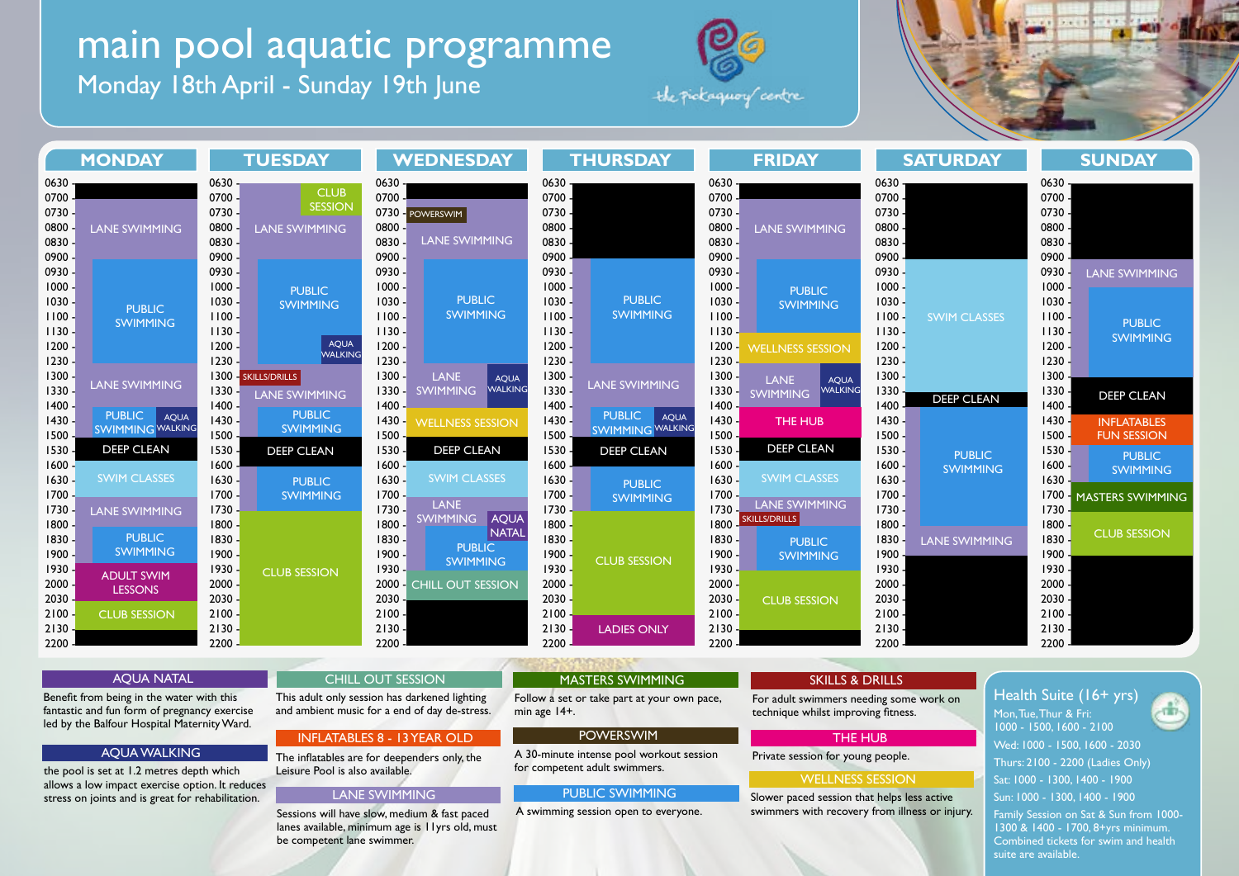# main pool aquatic programme

Monday 18th April - Sunday 19th June





| <b>MONDAY</b>                                                                                |                                                                                                                 | <b>TUESDAY</b>                                                                      |                                                                                  | <b>WEDNESDAY</b>                                                                 |                                                                                        | <b>THURSDAY</b>                                                                  |                                                                   | <b>FRIDAY</b>                                                                      |                                                                          | <b>SATURDAY</b>                                                                         |                                  | <b>SUNDAY</b>                                                                        |                                                               |
|----------------------------------------------------------------------------------------------|-----------------------------------------------------------------------------------------------------------------|-------------------------------------------------------------------------------------|----------------------------------------------------------------------------------|----------------------------------------------------------------------------------|----------------------------------------------------------------------------------------|----------------------------------------------------------------------------------|-------------------------------------------------------------------|------------------------------------------------------------------------------------|--------------------------------------------------------------------------|-----------------------------------------------------------------------------------------|----------------------------------|--------------------------------------------------------------------------------------|---------------------------------------------------------------|
| $0630 -$<br>$0700 -$<br>$0730 -$<br>$0800 -$<br>$0830 -$<br>$0900 -$                         | <b>LANE SWIMMING</b>                                                                                            | $0630 -$<br>$0700 -$<br>$0730 -$<br>$0800 -$<br>$0830 -$<br>$0900 -$                | <b>CLUB</b><br><b>SESSION</b><br><b>LANE SWIMMING</b>                            | $0630 -$<br>0700<br>0800<br>0830<br>0900                                         | 0730 - POWERSWIM<br><b>LANE SWIMMING</b>                                               | $0630 -$<br>$0700 -$<br>0730 -<br>0800<br>0830 -<br>0900                         |                                                                   | $0630 -$<br>0700<br>$0730 -$<br>0800.<br>0830 -<br>0900 -                          | <b>LANE SWIMMING</b>                                                     | $0630 -$<br>$0700 -$<br>$0730 -$<br>0800 -<br>0830 -<br>0900 -                          |                                  | 0630<br>$0700 -$<br>0730 -<br>0800 -<br>0830 -<br>0900                               |                                                               |
| $0930 -$<br>$1000 -$<br>$1030 -$<br>$1100 -$<br>$1130 -$<br>$1200 -$<br>$1230 -$             | <b>PUBLIC</b><br><b>SWIMMING</b>                                                                                | $0930 -$<br>$1000 -$<br>$1030 -$<br>$1100 -$<br>$1130 -$<br>$1200 -$<br>$1230 -$    | <b>PUBLIC</b><br><b>SWIMMING</b><br><b>AQUA</b><br><b>WALKING</b>                | $0930 -$<br>$1000 -$<br>$1030 -$<br>$1100 -$<br>$1130 -$<br>$1200 -$<br>$1230 -$ | <b>PUBLIC</b><br><b>SWIMMING</b>                                                       | $0930 -$<br>$1000 -$<br>$1030 -$<br>$1100 -$<br>$1130 -$<br>$1200 -$<br>$1230 -$ | <b>PUBLIC</b><br><b>SWIMMING</b>                                  | $0930 -$<br>$1000 -$<br>$1030 -$<br>1100.<br>1130.<br>$1200 -$<br>$1230 -$         | <b>PUBLIC</b><br><b>SWIMMING</b><br><b>WELLNESS SESSION</b>              | $0930 -$<br>$1000 -$<br>$1030 -$<br>$1100 -$<br>$1130 -$<br>$1200 -$<br>$1230 -$        | <b>SWIM CLASSES</b>              | $0930 -$<br>$1000 -$<br>$1030 -$<br>1100.<br>$1130 -$<br>$1200 -$<br>$1230 -$        | <b>LANE SWIMMING</b><br><b>PUBLIC</b><br><b>SWIMMING</b>      |
| $1300 -$<br>$1330 -$<br>$1400 -$<br>$1430 -$<br>$1500 -$                                     | <b>LANE SWIMMING</b><br>PUBLIC AQUA<br><b>SWIMMING WALKING</b>                                                  | $1330 -$<br>$1400 -$<br>$1430 -$<br>1500                                            | 1300 - SKILLS/DRILLS<br><b>LANE SWIMMING</b><br><b>PUBLIC</b><br><b>SWIMMING</b> | $1300 -$<br>ا۔ 1330<br>1400<br>1430.<br>1500.                                    | <b>LANE</b><br><b>AQUA</b><br><b>WALKING</b><br><b>SWIMMING</b><br>WELLNESS SESSION    | $1300 -$<br>$1330 -$<br>$1400 -$<br>$1430 -$<br>1500                             | <b>LANE SWIMMING</b><br>PUBLIC AQUA<br>SWIMMING WALKING           | $1300 -$<br>$1330 -$<br>1400<br>$1430 -$<br>1500                                   | <b>LANE</b><br>AQUA<br><b>WALKING</b><br><b>SWIMMING</b><br>THE HUB      | $1300 -$<br>$1330 -$<br>$1400 -$<br>$1430 -$<br>$1500 -$                                | <b>DEEP CLEAN</b>                | 1300<br>1330 -<br>$1400 -$<br>$1430 -$<br>$1500 -$                                   | <b>DEEP CLEAN</b><br><b>INFLATABLES</b><br><b>FUN SESSION</b> |
| $1530 -$<br>$1600 -$<br>$1630 -$<br>$1700 -$                                                 | <b>DEEP CLEAN</b><br><b>SWIM CLASSES</b>                                                                        | $1530 -$<br>1600<br>$1630 -$<br>$1700 -$                                            | <b>DEEP CLEAN</b><br><b>PUBLIC</b><br><b>SWIMMING</b>                            | $1530 -$<br>$1600 -$<br>$1630 -$<br>$1700 -$                                     | <b>DEEP CLEAN</b><br><b>SWIM CLASSES</b><br><b>LANE</b>                                | $1530 -$<br>1600<br>$1630 -$<br>$1700 -$                                         | <b>DEEP CLEAN</b><br><b>PUBLIC</b><br><b>SWIMMING</b>             | $1530 -$<br>$1600 -$<br>$1630 -$<br>$1700 -$                                       | <b>DEEP CLEAN</b><br><b>SWIM CLASSES</b><br><b>LANE SWIMMING</b>         | $1530 -$<br>$1600 -$<br>$1630 -$<br>$1700 -$                                            | <b>PUBLIC</b><br><b>SWIMMING</b> | $1530 -$<br>$1600 -$<br>1630.<br>$1700 -$                                            | <b>PUBLIC</b><br><b>SWIMMING</b><br><b>MASTERS SWIMMING</b>   |
| $1730 -$<br>$1800 -$<br>$1830 -$<br>- 1900 -<br>$1930 -$<br>$2000 -$<br>$2030 -$<br>$2100 -$ | LANE SWIMMING<br><b>PUBLIC</b><br><b>SWIMMING</b><br><b>ADULT SWIM</b><br><b>LESSONS</b><br><b>CLUB SESSION</b> | 1730.<br>1800 -<br>1830 -<br>$1900 -$<br>1930 -<br>$2000 -$<br>$2030 -$<br>$2100 -$ | <b>CLUB SESSION</b>                                                              | $1730 -$<br>1800 -<br>1830 -<br>1900 -<br>1930.<br>$2030 -$<br>$2100 -$          | SWIMMING AQUA<br>NATAL<br><b>PUBLIC</b><br><b>SWIMMING</b><br>2000 - CHILL OUT SESSION | 1730<br>1800.<br>1830 -<br>1900.<br>1930.<br>$2000 -$<br>$2030 -$<br>2100        | <b>CLUB SESSION</b>                                               | 1730.<br>$1800 -$<br>$1830 -$<br>1900.<br>1930<br>$2000 -$<br>$2030 -$<br>$2100 -$ | SKILLS/DRILLS<br><b>PUBLIC</b><br><b>SWIMMING</b><br><b>CLUB SESSION</b> | $1730 -$<br>$1800 -$<br>$1830 -$<br>1900.<br>1930 -<br>$2000 -$<br>$2030 -$<br>$2100 -$ | <b>LANE SWIMMING</b>             | $1730 -$<br>$1800 -$<br>1830 -<br>1900<br>1930 -<br>$2000 -$<br>$2030 -$<br>$2100 -$ | <b>CLUB SESSION</b>                                           |
| $2130 -$<br>$2200 -$                                                                         |                                                                                                                 | $2130 -$<br>2200                                                                    |                                                                                  | $2130 -$<br>2200                                                                 |                                                                                        | $2130 -$<br>2200                                                                 | <b>LADIES ONLY</b><br>The The first agent harmony in the agent of | $2130 -$<br>2200                                                                   |                                                                          | $2130 -$<br>$2200 -$                                                                    |                                  | $2130 -$<br>2200                                                                     |                                                               |

#### AQUA NATAL

Benefit from being in the water with this fantastic and fun form of pregnancy exercise led by the Balfour Hospital Maternity Ward.

# AQUA WALKING The inflatables are for deependers only, the

the pool is set at 1.2 metres depth which allows a low impact exercise option. It reduces stress on joints and is great for rehabilitation.

#### This adult only session has darkened lighting CHILL OUT SESSION

Leisure Pool is also available.

be competent lane swimmer.

INFLATABLES 8 - 13 YEAR OLD

and ambient music for a end of day de-stress.

Sessions will have slow, medium & fast paced lanes available, minimum age is 11yrs old, must

LANE SWIMMING

# MASTERS SWIMMING

Follow a set or take part at your own pace, min age 14+.

#### POWERSWIM

A 30-minute intense pool workout session for competent adult swimmers.

#### PUBLIC SWIMMING

A swimming session open to everyone.

#### SKILLS & DRILLS

For adult swimmers needing some work on technique whilst improving fitness.

#### THE HUB

Private session for young people.

## WELLNESS SESSION

Slower paced session that helps less active swimmers with recovery from illness or injury.

# Health Suite (16+ yrs) Mon, Tue, Thur & Fri: 1000 - 1500, 1600 - 2100 Wed: 1000 - 1500, 1600 - 2030 Thurs: 2100 - 2200 (Ladies Only) Sat: 1000 - 1300, 1400 - 1900 Sun: 1000 - 1300, 1400 - 1900

Family Session on Sat & Sun from 1000- 1300 & 1400 - 1700, 8+yrs minimum. Combined tickets for swim and health suite are available.